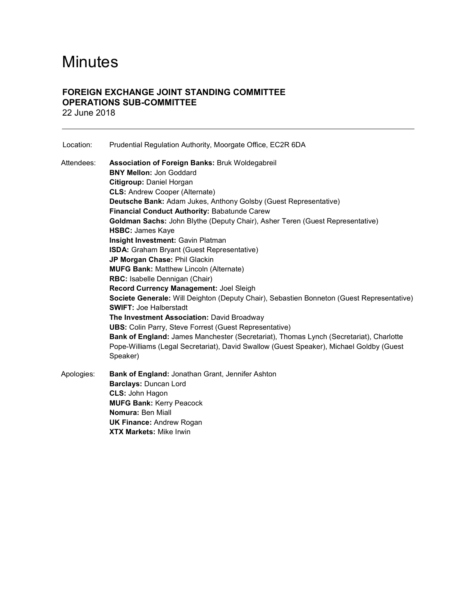# **Minutes**

# FOREIGN EXCHANGE JOINT STANDING COMMITTEE OPERATIONS SUB-COMMITTEE 22 June 2018

| Location:  | Prudential Regulation Authority, Moorgate Office, EC2R 6DA                                                                                                                                                                                                                                                                                                                                                                                                                                                                                                                                                                                                                                                                                                                                                                                                                                                                                                                                                                                                                        |
|------------|-----------------------------------------------------------------------------------------------------------------------------------------------------------------------------------------------------------------------------------------------------------------------------------------------------------------------------------------------------------------------------------------------------------------------------------------------------------------------------------------------------------------------------------------------------------------------------------------------------------------------------------------------------------------------------------------------------------------------------------------------------------------------------------------------------------------------------------------------------------------------------------------------------------------------------------------------------------------------------------------------------------------------------------------------------------------------------------|
| Attendees: | <b>Association of Foreign Banks: Bruk Woldegabreil</b><br><b>BNY Mellon: Jon Goddard</b><br>Citigroup: Daniel Horgan<br><b>CLS: Andrew Cooper (Alternate)</b><br>Deutsche Bank: Adam Jukes, Anthony Golsby (Guest Representative)<br>Financial Conduct Authority: Babatunde Carew<br>Goldman Sachs: John Blythe (Deputy Chair), Asher Teren (Guest Representative)<br><b>HSBC: James Kaye</b><br>Insight Investment: Gavin Platman<br>ISDA: Graham Bryant (Guest Representative)<br>JP Morgan Chase: Phil Glackin<br><b>MUFG Bank: Matthew Lincoln (Alternate)</b><br>RBC: Isabelle Dennigan (Chair)<br>Record Currency Management: Joel Sleigh<br>Societe Generale: Will Deighton (Deputy Chair), Sebastien Bonneton (Guest Representative)<br><b>SWIFT: Joe Halberstadt</b><br>The Investment Association: David Broadway<br><b>UBS:</b> Colin Parry, Steve Forrest (Guest Representative)<br>Bank of England: James Manchester (Secretariat), Thomas Lynch (Secretariat), Charlotte<br>Pope-Williams (Legal Secretariat), David Swallow (Guest Speaker), Michael Goldby (Guest |
| Apologies: | Speaker)<br>Bank of England: Jonathan Grant, Jennifer Ashton<br>Barclays: Duncan Lord<br>CLS: John Hagon<br><b>MUFG Bank: Kerry Peacock</b><br>Nomura: Ben Miall<br><b>UK Finance: Andrew Rogan</b>                                                                                                                                                                                                                                                                                                                                                                                                                                                                                                                                                                                                                                                                                                                                                                                                                                                                               |

XTX Markets: Mike Irwin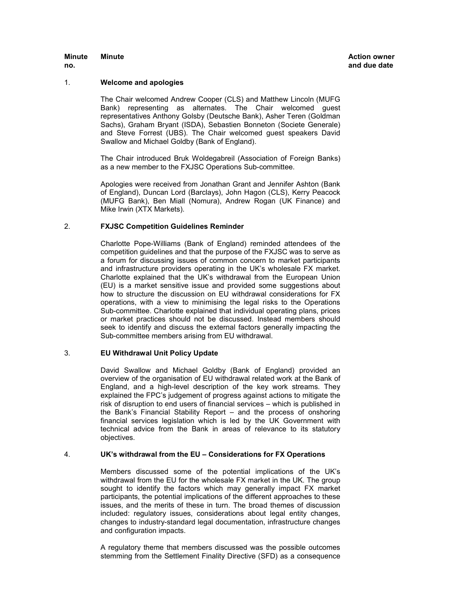### Minute

# 1. Welcome and apologies

The Chair welcomed Andrew Cooper (CLS) and Matthew Lincoln (MUFG Bank) representing as alternates. The Chair welcomed guest representatives Anthony Golsby (Deutsche Bank), Asher Teren (Goldman Sachs), Graham Bryant (ISDA), Sebastien Bonneton (Societe Generale) and Steve Forrest (UBS). The Chair welcomed guest speakers David Swallow and Michael Goldby (Bank of England).

The Chair introduced Bruk Woldegabreil (Association of Foreign Banks) as a new member to the FXJSC Operations Sub-committee.

Apologies were received from Jonathan Grant and Jennifer Ashton (Bank of England), Duncan Lord (Barclays), John Hagon (CLS), Kerry Peacock (MUFG Bank), Ben Miall (Nomura), Andrew Rogan (UK Finance) and Mike Irwin (XTX Markets).

# 2. FXJSC Competition Guidelines Reminder

Charlotte Pope-Williams (Bank of England) reminded attendees of the competition guidelines and that the purpose of the FXJSC was to serve as a forum for discussing issues of common concern to market participants and infrastructure providers operating in the UK's wholesale FX market. Charlotte explained that the UK's withdrawal from the European Union (EU) is a market sensitive issue and provided some suggestions about how to structure the discussion on EU withdrawal considerations for FX operations, with a view to minimising the legal risks to the Operations Sub-committee. Charlotte explained that individual operating plans, prices or market practices should not be discussed. Instead members should seek to identify and discuss the external factors generally impacting the Sub-committee members arising from EU withdrawal.

# 3. EU Withdrawal Unit Policy Update

David Swallow and Michael Goldby (Bank of England) provided an overview of the organisation of EU withdrawal related work at the Bank of England, and a high-level description of the key work streams. They explained the FPC's judgement of progress against actions to mitigate the risk of disruption to end users of financial services – which is published in the Bank's Financial Stability Report – and the process of onshoring financial services legislation which is led by the UK Government with technical advice from the Bank in areas of relevance to its statutory objectives.

# 4. UK's withdrawal from the EU – Considerations for FX Operations

Members discussed some of the potential implications of the UK's withdrawal from the EU for the wholesale FX market in the UK. The group sought to identify the factors which may generally impact FX market participants, the potential implications of the different approaches to these issues, and the merits of these in turn. The broad themes of discussion included: regulatory issues, considerations about legal entity changes, changes to industry-standard legal documentation, infrastructure changes and configuration impacts.

A regulatory theme that members discussed was the possible outcomes stemming from the Settlement Finality Directive (SFD) as a consequence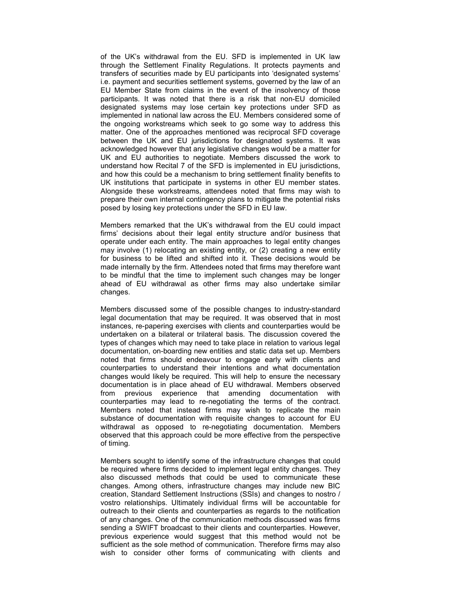of the UK's withdrawal from the EU. SFD is implemented in UK law through the Settlement Finality Regulations. It protects payments and transfers of securities made by EU participants into 'designated systems' i.e. payment and securities settlement systems, governed by the law of an EU Member State from claims in the event of the insolvency of those participants. It was noted that there is a risk that non-EU domiciled designated systems may lose certain key protections under SFD as implemented in national law across the EU. Members considered some of the ongoing workstreams which seek to go some way to address this matter. One of the approaches mentioned was reciprocal SFD coverage between the UK and EU jurisdictions for designated systems. It was acknowledged however that any legislative changes would be a matter for UK and EU authorities to negotiate. Members discussed the work to understand how Recital 7 of the SFD is implemented in EU jurisdictions, and how this could be a mechanism to bring settlement finality benefits to UK institutions that participate in systems in other EU member states. Alongside these workstreams, attendees noted that firms may wish to prepare their own internal contingency plans to mitigate the potential risks posed by losing key protections under the SFD in EU law.

Members remarked that the UK's withdrawal from the EU could impact firms' decisions about their legal entity structure and/or business that operate under each entity. The main approaches to legal entity changes may involve (1) relocating an existing entity, or (2) creating a new entity for business to be lifted and shifted into it. These decisions would be made internally by the firm. Attendees noted that firms may therefore want to be mindful that the time to implement such changes may be longer ahead of EU withdrawal as other firms may also undertake similar changes.

Members discussed some of the possible changes to industry-standard legal documentation that may be required. It was observed that in most instances, re-papering exercises with clients and counterparties would be undertaken on a bilateral or trilateral basis. The discussion covered the types of changes which may need to take place in relation to various legal documentation, on-boarding new entities and static data set up. Members noted that firms should endeavour to engage early with clients and counterparties to understand their intentions and what documentation changes would likely be required. This will help to ensure the necessary documentation is in place ahead of EU withdrawal. Members observed from previous experience that amending documentation with counterparties may lead to re-negotiating the terms of the contract. Members noted that instead firms may wish to replicate the main substance of documentation with requisite changes to account for EU withdrawal as opposed to re-negotiating documentation. Members observed that this approach could be more effective from the perspective of timing.

Members sought to identify some of the infrastructure changes that could be required where firms decided to implement legal entity changes. They also discussed methods that could be used to communicate these changes. Among others, infrastructure changes may include new BIC creation, Standard Settlement Instructions (SSIs) and changes to nostro / vostro relationships. Ultimately individual firms will be accountable for outreach to their clients and counterparties as regards to the notification of any changes. One of the communication methods discussed was firms sending a SWIFT broadcast to their clients and counterparties. However, previous experience would suggest that this method would not be sufficient as the sole method of communication. Therefore firms may also wish to consider other forms of communicating with clients and